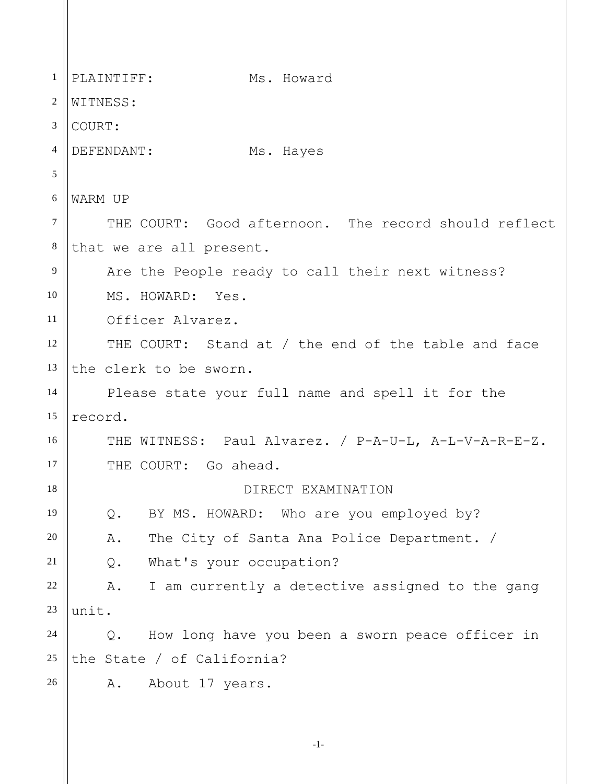1 2 3 4 5 6 7 8 9 10 11 12 13 14 15 16 17 18 19 20 21 22 23 24 25 26 PLAINTIFF: Ms. Howard WITNESS: COURT: DEFENDANT: Ms. Hayes WARM UP THE COURT: Good afternoon. The record should reflect that we are all present. Are the People ready to call their next witness? MS. HOWARD: Yes. Officer Alvarez. THE COURT: Stand at / the end of the table and face the clerk to be sworn. Please state your full name and spell it for the record. THE WITNESS: Paul Alvarez. / P-A-U-L, A-L-V-A-R-E-Z. THE COURT: Go ahead. DIRECT EXAMINATION Q. BY MS. HOWARD: Who are you employed by? A. The City of Santa Ana Police Department. / Q. What's your occupation? A. I am currently a detective assigned to the gang unit. Q. How long have you been a sworn peace officer in the State / of California? A. About 17 years.

-1-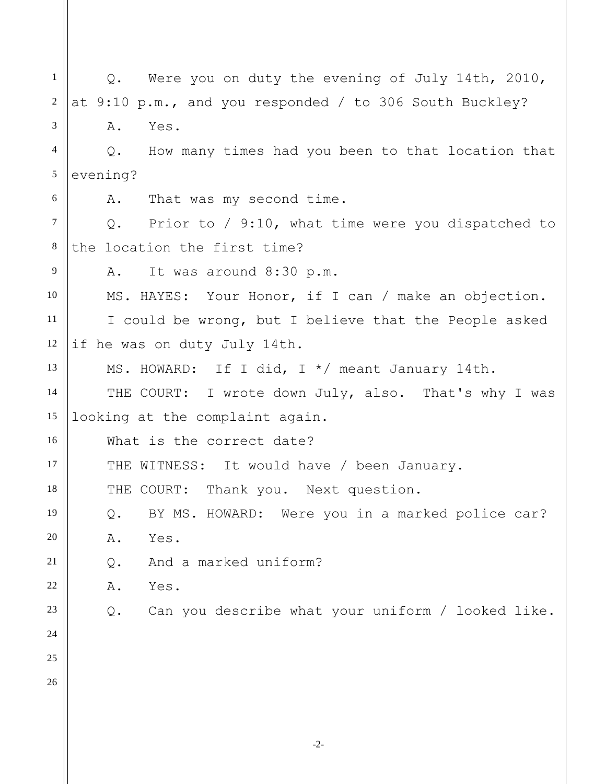-2- 1 2 3 4 5 6 7 8 9 10 11 12 13 14 15 16 17 18 19 20 21 22 23 24 25 26 Q. Were you on duty the evening of July 14th, 2010, at 9:10 p.m., and you responded / to 306 South Buckley? A. Yes. Q. How many times had you been to that location that evening? A. That was my second time. Q. Prior to / 9:10, what time were you dispatched to the location the first time? A. It was around 8:30 p.m. MS. HAYES: Your Honor, if I can / make an objection. I could be wrong, but I believe that the People asked if he was on duty July 14th. MS. HOWARD: If I did, I \*/ meant January 14th. THE COURT: I wrote down July, also. That's why I was looking at the complaint again. What is the correct date? THE WITNESS: It would have / been January. THE COURT: Thank you. Next question. Q. BY MS. HOWARD: Were you in a marked police car? A. Yes. Q. And a marked uniform? A. Yes. Q. Can you describe what your uniform / looked like.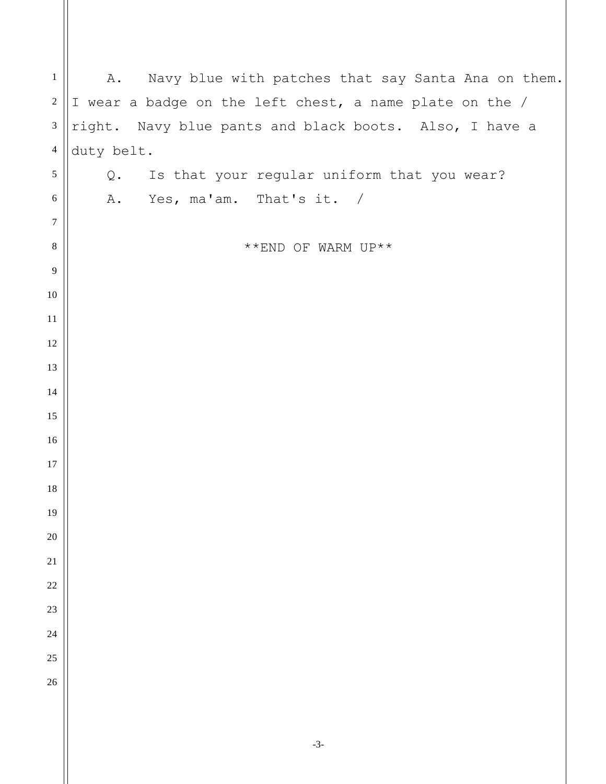| $\mathbf{1}$                |            |                                                         |
|-----------------------------|------------|---------------------------------------------------------|
|                             | Α.         | Navy blue with patches that say Santa Ana on them.      |
| $\sqrt{2}$                  |            | I wear a badge on the left chest, a name plate on the / |
| $\ensuremath{\mathfrak{Z}}$ |            | right. Navy blue pants and black boots. Also, I have a  |
| $\overline{4}$              | duty belt. |                                                         |
| $\sqrt{5}$                  | Q.         | Is that your regular uniform that you wear?             |
| $\sqrt{6}$                  |            | A. Yes, ma'am. That's it. /                             |
| $\boldsymbol{7}$            |            |                                                         |
| $\,8\,$                     |            | **END OF WARM UP**                                      |
| $\overline{9}$              |            |                                                         |
| 10                          |            |                                                         |
| 11                          |            |                                                         |
| 12                          |            |                                                         |
| 13                          |            |                                                         |
| 14                          |            |                                                         |
| 15                          |            |                                                         |
| 16                          |            |                                                         |
| 17                          |            |                                                         |
| 18                          |            |                                                         |
| 19                          |            |                                                         |
| 20                          |            |                                                         |
| 21                          |            |                                                         |
| $22\,$                      |            |                                                         |
| 23                          |            |                                                         |
| 24                          |            |                                                         |
| 25                          |            |                                                         |
| 26                          |            |                                                         |
|                             |            |                                                         |
|                             |            |                                                         |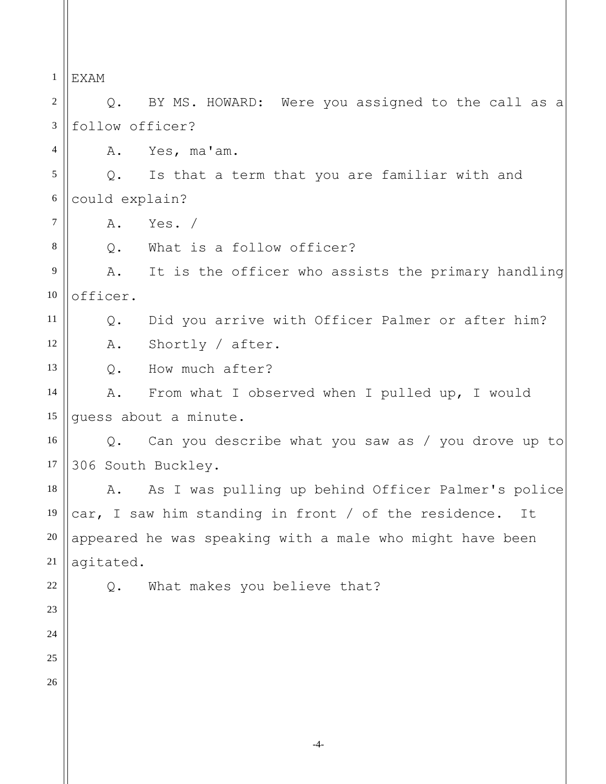1 2 3 4 5 6 7 8 9 10 11 12 13 14 15 16 17 18 19 20 21 22 23 24 25 26 EXAM Q. BY MS. HOWARD: Were you assigned to the call as a follow officer? A. Yes, ma'am. Q. Is that a term that you are familiar with and could explain? A. Yes. / Q. What is a follow officer? A. It is the officer who assists the primary handling officer. Q. Did you arrive with Officer Palmer or after him? A. Shortly / after. Q. How much after? A. From what I observed when I pulled up, I would guess about a minute. Q. Can you describe what you saw as / you drove up to 306 South Buckley. A. As I was pulling up behind Officer Palmer's police car, I saw him standing in front / of the residence. It appeared he was speaking with a male who might have been agitated. Q. What makes you believe that?

-4-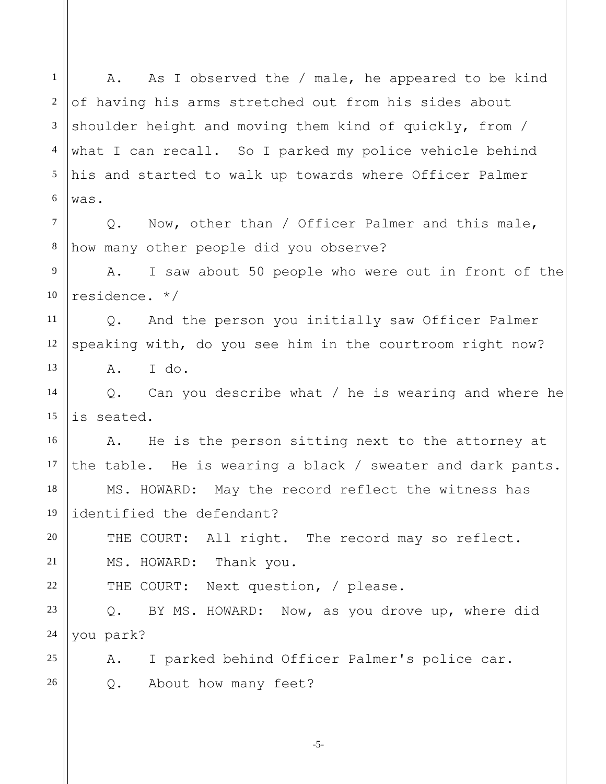1 2 3 4 5 6 7 8 9 10 11 12 13 14 15 16 17 18 19 20 21 22 23 24 25 26 A. As I observed the / male, he appeared to be kind of having his arms stretched out from his sides about shoulder height and moving them kind of quickly, from / what I can recall. So I parked my police vehicle behind his and started to walk up towards where Officer Palmer was. Q. Now, other than / Officer Palmer and this male, how many other people did you observe? A. I saw about 50 people who were out in front of the residence. \*/ Q. And the person you initially saw Officer Palmer speaking with, do you see him in the courtroom right now? A. I do. Q. Can you describe what / he is wearing and where he is seated. A. He is the person sitting next to the attorney at the table. He is wearing a black / sweater and dark pants. MS. HOWARD: May the record reflect the witness has identified the defendant? THE COURT: All right. The record may so reflect. MS. HOWARD: Thank you. THE COURT: Next question, / please. Q. BY MS. HOWARD: Now, as you drove up, where did you park? A. I parked behind Officer Palmer's police car. Q. About how many feet?

-5-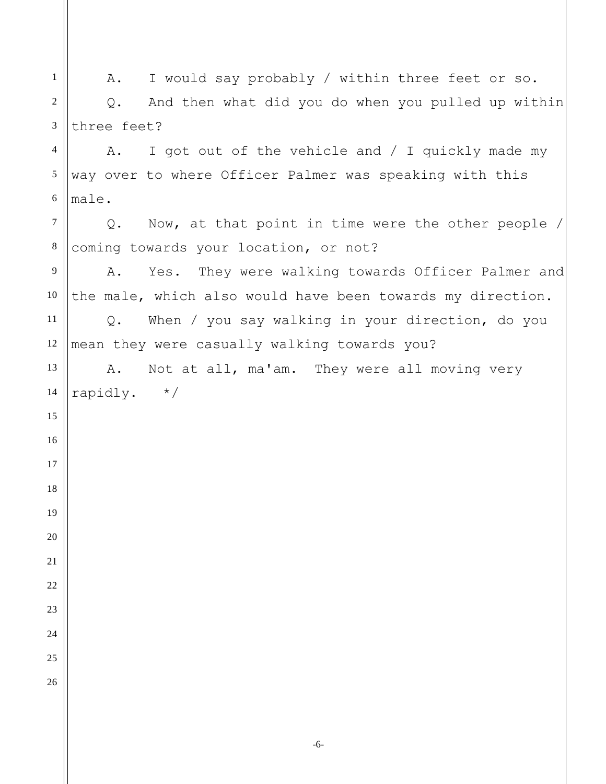A. I would say probably / within three feet or so. Q. And then what did you do when you pulled up within three feet? A. I got out of the vehicle and / I quickly made my way over to where Officer Palmer was speaking with this male. Q. Now, at that point in time were the other people / coming towards your location, or not? A. Yes. They were walking towards Officer Palmer and the male, which also would have been towards my direction. Q. When / you say walking in your direction, do you mean they were casually walking towards you? A. Not at all, ma'am. They were all moving very rapidly. \*/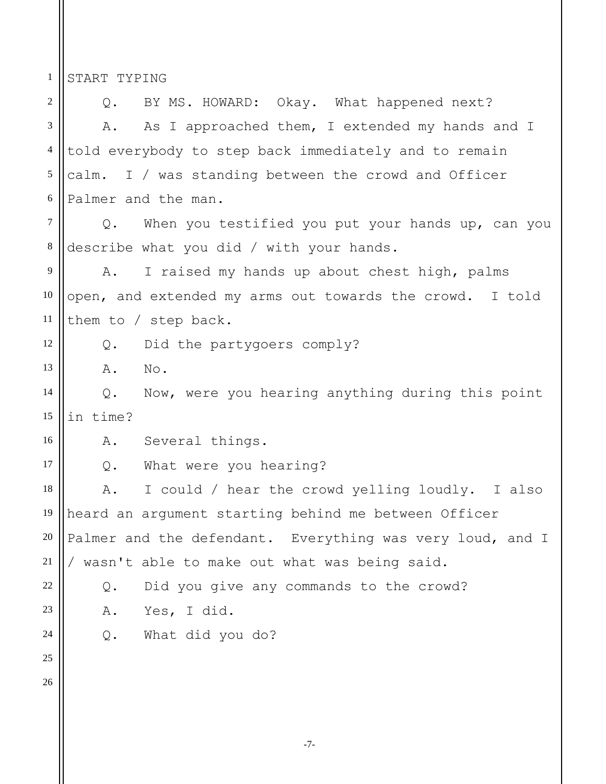START TYPING

1

2 3 4 5 6 7 8 9 10 11 12 13 14 15 16 17 18 19 20 21 22 23 24 25 26 Q. BY MS. HOWARD: Okay. What happened next? A. As I approached them, I extended my hands and I told everybody to step back immediately and to remain calm. I / was standing between the crowd and Officer Palmer and the man. Q. When you testified you put your hands up, can you describe what you did / with your hands. A. I raised my hands up about chest high, palms open, and extended my arms out towards the crowd. I told them to / step back. Q. Did the partygoers comply? A. No. Q. Now, were you hearing anything during this point in time? A. Several things. Q. What were you hearing? A. I could / hear the crowd yelling loudly. I also heard an argument starting behind me between Officer Palmer and the defendant. Everything was very loud, and I / wasn't able to make out what was being said. Q. Did you give any commands to the crowd? A. Yes, I did. Q. What did you do?

-7-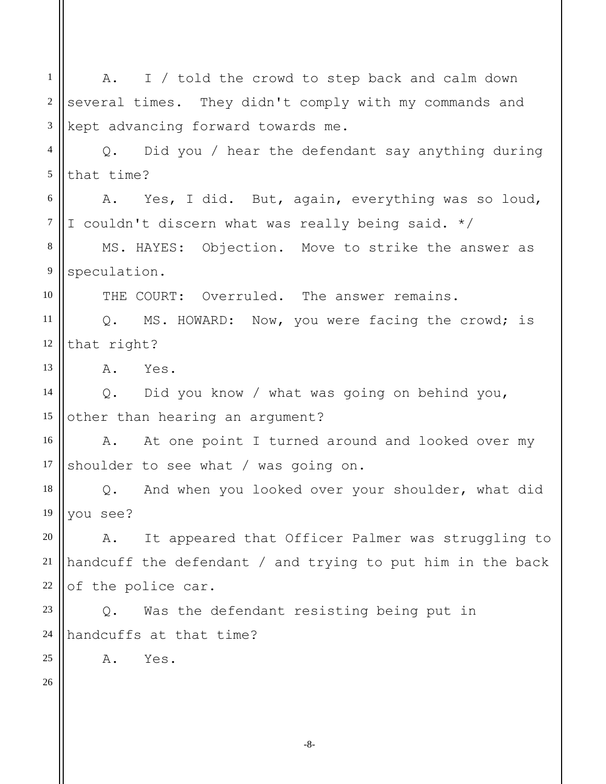1 2 3 4 5 6 7 8 9 10 11 12 13 14 15 16 17 18 19 20 21 22 23 24 25 26 A. I / told the crowd to step back and calm down several times. They didn't comply with my commands and kept advancing forward towards me. Q. Did you / hear the defendant say anything during that time? A. Yes, I did. But, again, everything was so loud, I couldn't discern what was really being said. \*/ MS. HAYES: Objection. Move to strike the answer as speculation. THE COURT: Overruled. The answer remains. Q. MS. HOWARD: Now, you were facing the crowd; is that right? A. Yes. Q. Did you know / what was going on behind you, other than hearing an argument? A. At one point I turned around and looked over my shoulder to see what / was going on. Q. And when you looked over your shoulder, what did you see? A. It appeared that Officer Palmer was struggling to handcuff the defendant / and trying to put him in the back of the police car. Q. Was the defendant resisting being put in handcuffs at that time? A. Yes.

-8-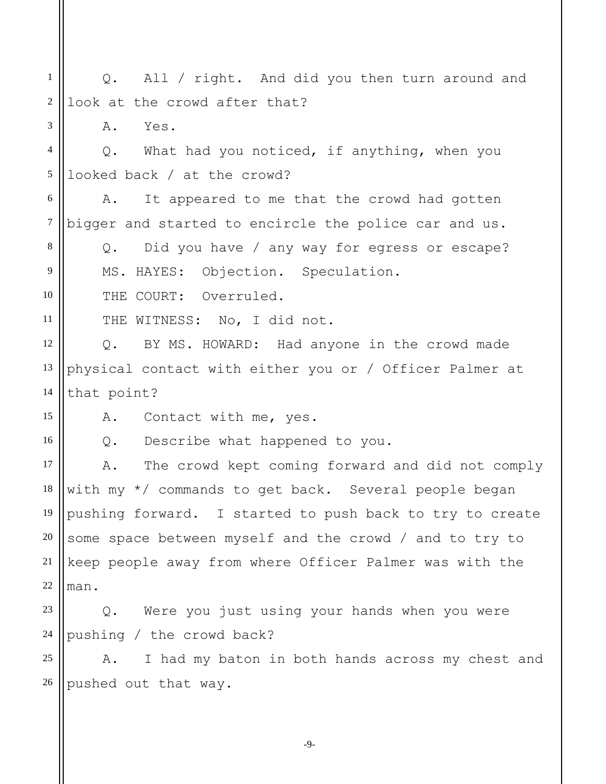1 2 Q. All / right. And did you then turn around and look at the crowd after that?

A. Yes.

3

8

9

10

11

15

16

4 5 Q. What had you noticed, if anything, when you looked back / at the crowd?

6 7 A. It appeared to me that the crowd had gotten bigger and started to encircle the police car and us.

Q. Did you have / any way for egress or escape? MS. HAYES: Objection. Speculation.

THE COURT: Overruled.

THE WITNESS: No, I did not.

12 13 14 Q. BY MS. HOWARD: Had anyone in the crowd made physical contact with either you or / Officer Palmer at that point?

A. Contact with me, yes.

Q. Describe what happened to you.

17 18 19 20 21 22 A. The crowd kept coming forward and did not comply with my \*/ commands to get back. Several people began pushing forward. I started to push back to try to create some space between myself and the crowd / and to try to keep people away from where Officer Palmer was with the man.

23 24 Q. Were you just using your hands when you were pushing / the crowd back?

25 26 A. I had my baton in both hands across my chest and pushed out that way.

-9-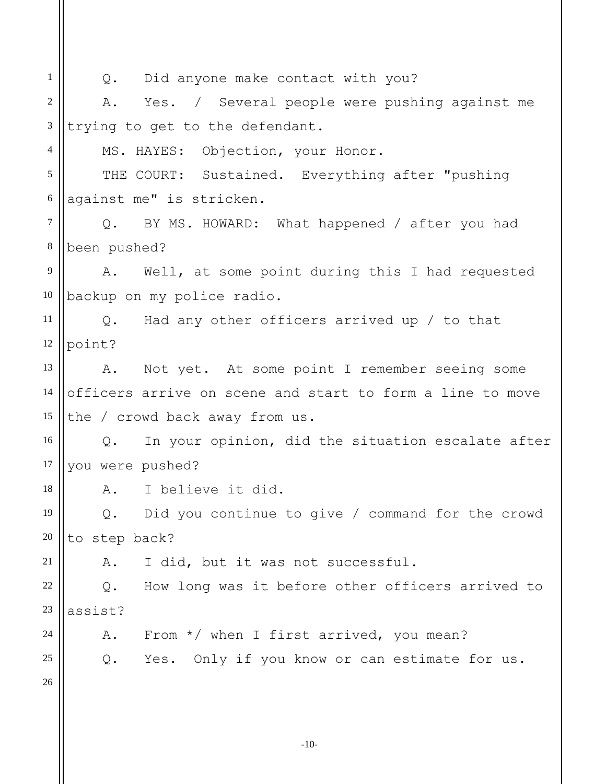| 1               | Q. Did anyone make contact with you?                      |  |  |
|-----------------|-----------------------------------------------------------|--|--|
| $\overline{2}$  | A. Yes. / Several people were pushing against me          |  |  |
| $\mathfrak{Z}$  | trying to get to the defendant.                           |  |  |
| 4               | MS. HAYES: Objection, your Honor.                         |  |  |
| 5               | THE COURT: Sustained. Everything after "pushing           |  |  |
| 6               | against me" is stricken.                                  |  |  |
| $\overline{7}$  | Q. BY MS. HOWARD: What happened / after you had           |  |  |
| $8\phantom{.0}$ | been pushed?                                              |  |  |
| 9               | A. Well, at some point during this I had requested        |  |  |
| 10              | backup on my police radio.                                |  |  |
| 11              | Q. Had any other officers arrived up / to that            |  |  |
| 12              | point?                                                    |  |  |
| 13              | A. Not yet. At some point I remember seeing some          |  |  |
| 14              | officers arrive on scene and start to form a line to move |  |  |
| 15              | the / crowd back away from us.                            |  |  |
| 16              | Q. In your opinion, did the situation escalate after      |  |  |
| 17              | you were pushed?                                          |  |  |
| 18              | A. I believe it did.                                      |  |  |
| 19              | Did you continue to give / command for the crowd<br>Q.    |  |  |
| 20              | to step back?                                             |  |  |
| 21              | I did, but it was not successful.<br>Α.                   |  |  |
| 22              | How long was it before other officers arrived to<br>$Q$ . |  |  |
| 23              | assist?                                                   |  |  |
| 24              | From $*/$ when I first arrived, you mean?<br>Α.           |  |  |
| 25              | Yes. Only if you know or can estimate for us.<br>Q.       |  |  |
| 26              |                                                           |  |  |
|                 |                                                           |  |  |
|                 |                                                           |  |  |

-10-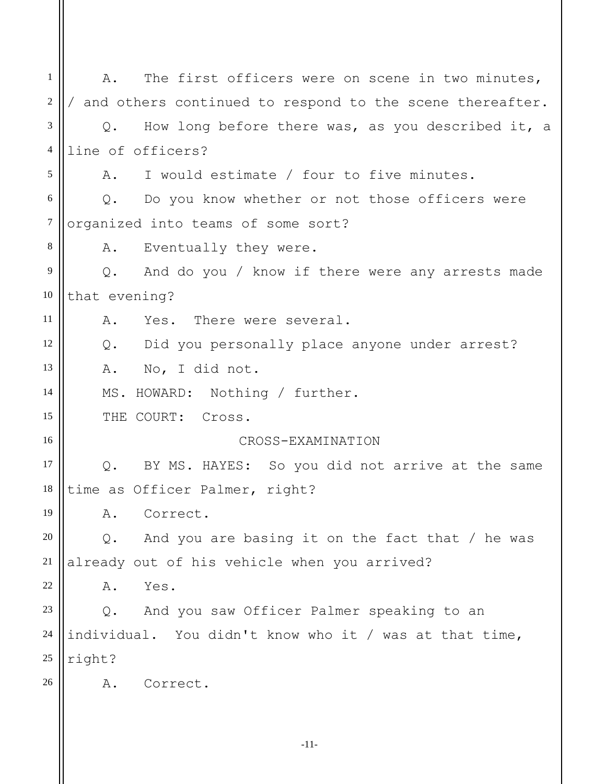1 2 3 4 5 6 7 8 9 10 11 12 13 14 15 16 17 18 19 20 21 22 23 24 25 26 A. The first officers were on scene in two minutes, / and others continued to respond to the scene thereafter. Q. How long before there was, as you described it, a line of officers? A. I would estimate / four to five minutes. Q. Do you know whether or not those officers were organized into teams of some sort? A. Eventually they were. Q. And do you / know if there were any arrests made that evening? A. Yes. There were several. Q. Did you personally place anyone under arrest? A. No, I did not. MS. HOWARD: Nothing / further. THE COURT: Cross. CROSS-EXAMINATION Q. BY MS. HAYES: So you did not arrive at the same time as Officer Palmer, right? A. Correct. Q. And you are basing it on the fact that / he was already out of his vehicle when you arrived? A. Yes. Q. And you saw Officer Palmer speaking to an individual. You didn't know who it / was at that time, right? A. Correct.

-11-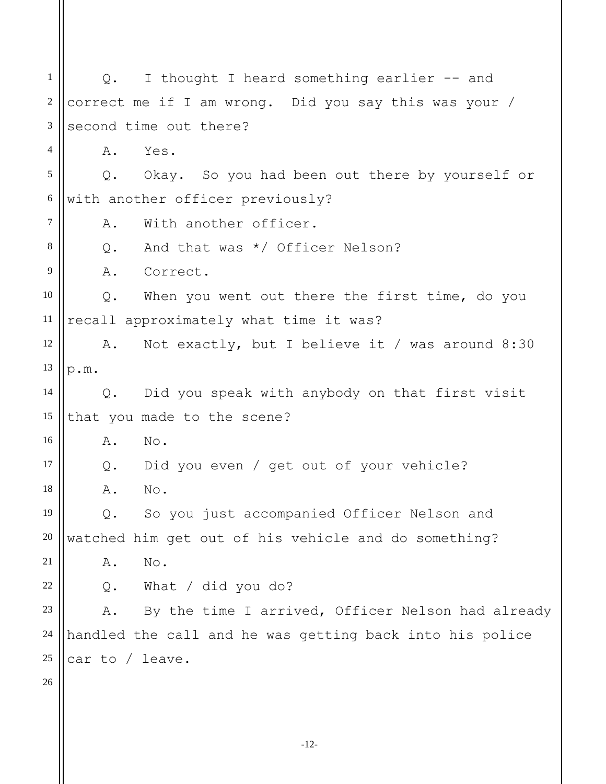1 2 3 4 5 6 7 8 9 10 11 12 13 14 15 16 17 18 19 20 21 22 23 24 25 26 Q. I thought I heard something earlier -- and correct me if I am wrong. Did you say this was your / second time out there? A. Yes. Q. Okay. So you had been out there by yourself or with another officer previously? A. With another officer. Q. And that was \*/ Officer Nelson? A. Correct. Q. When you went out there the first time, do you recall approximately what time it was? A. Not exactly, but I believe it / was around 8:30 p.m. Q. Did you speak with anybody on that first visit that you made to the scene? A. No. Q. Did you even / get out of your vehicle? A. No. Q. So you just accompanied Officer Nelson and watched him get out of his vehicle and do something? A. No. Q. What / did you do? A. By the time I arrived, Officer Nelson had already handled the call and he was getting back into his police car to / leave.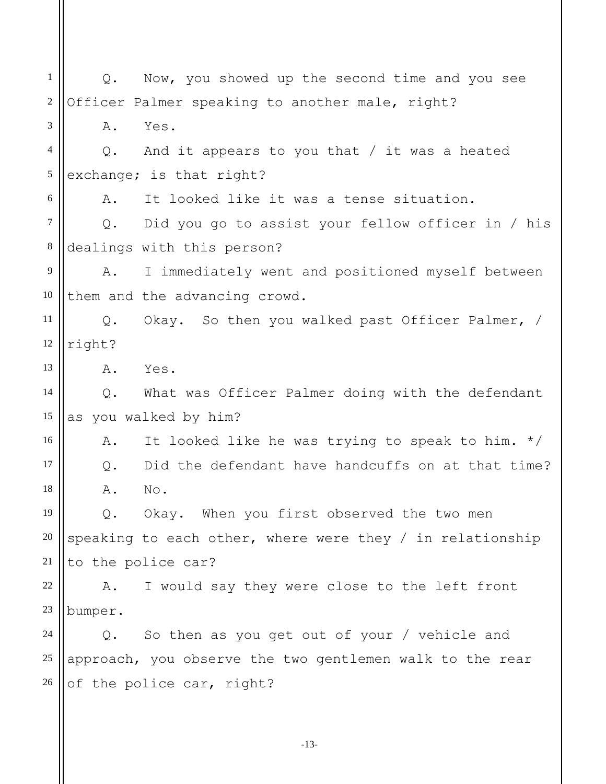1 2 3 4 5 6 7 8 9 10 11 12 13 14 15 16 17 18 19 20 21 22 23 24 25 26 Q. Now, you showed up the second time and you see Officer Palmer speaking to another male, right? A. Yes. Q. And it appears to you that / it was a heated exchange; is that right? A. It looked like it was a tense situation. Q. Did you go to assist your fellow officer in / his dealings with this person? A. I immediately went and positioned myself between them and the advancing crowd. Q. Okay. So then you walked past Officer Palmer, / right? A. Yes. Q. What was Officer Palmer doing with the defendant as you walked by him? A. It looked like he was trying to speak to him. \*/ Q. Did the defendant have handcuffs on at that time? A. No. Q. Okay. When you first observed the two men speaking to each other, where were they / in relationship to the police car? A. I would say they were close to the left front bumper. Q. So then as you get out of your / vehicle and approach, you observe the two gentlemen walk to the rear of the police car, right?

-13-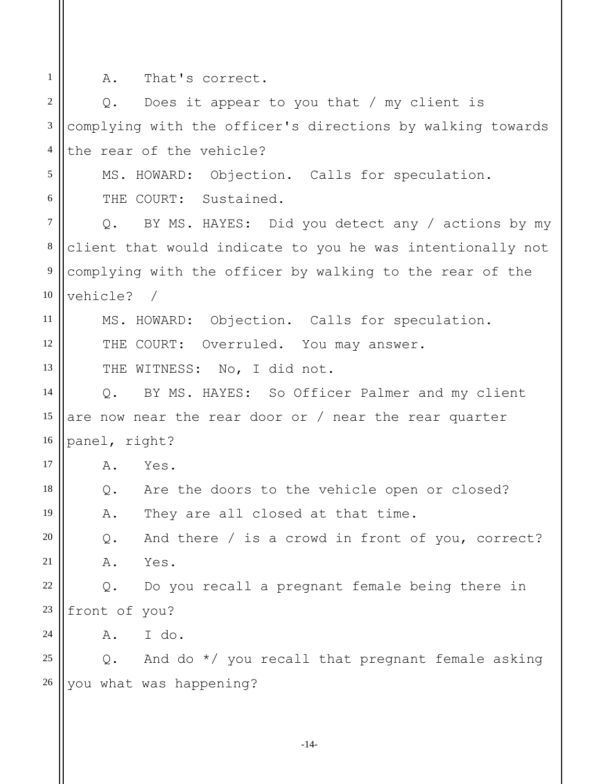A. That's correct.

1

2 3 4 5 6 7 8 9 10 11 12 13 14 15 16 17 18 19 20 21 22 23 24 25 26 Q. Does it appear to you that / my client is complying with the officer's directions by walking towards the rear of the vehicle? MS. HOWARD: Objection. Calls for speculation. THE COURT: Sustained. Q. BY MS. HAYES: Did you detect any / actions by my client that would indicate to you he was intentionally not complying with the officer by walking to the rear of the vehicle? / MS. HOWARD: Objection. Calls for speculation. THE COURT: Overruled. You may answer. THE WITNESS: No, I did not. Q. BY MS. HAYES: So Officer Palmer and my client are now near the rear door or / near the rear quarter panel, right? A. Yes. Q. Are the doors to the vehicle open or closed? A. They are all closed at that time. Q. And there / is a crowd in front of you, correct? A. Yes. Q. Do you recall a pregnant female being there in front of you? A. I do. Q. And do \*/ you recall that pregnant female asking you what was happening?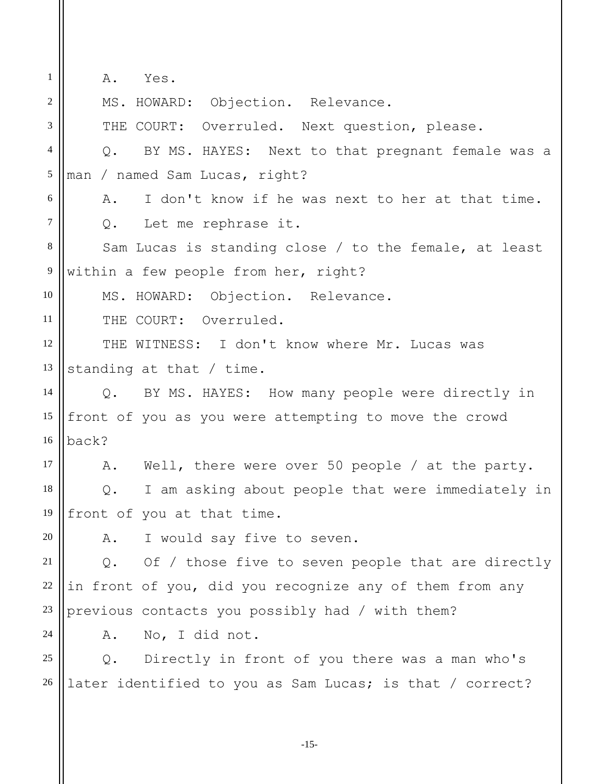A. Yes.

1

2 3 4 5 6 7 8 9 10 11 12 13 14 15 16 17 18 19 20 21 22 23 24 25 26 MS. HOWARD: Objection. Relevance. THE COURT: Overruled. Next question, please. Q. BY MS. HAYES: Next to that pregnant female was a man / named Sam Lucas, right? A. I don't know if he was next to her at that time. Q. Let me rephrase it. Sam Lucas is standing close / to the female, at least within a few people from her, right? MS. HOWARD: Objection. Relevance. THE COURT: Overruled. THE WITNESS: I don't know where Mr. Lucas was standing at that / time. Q. BY MS. HAYES: How many people were directly in front of you as you were attempting to move the crowd back? A. Well, there were over 50 people / at the party. Q. I am asking about people that were immediately in front of you at that time. A. I would say five to seven. Q. Of / those five to seven people that are directly in front of you, did you recognize any of them from any previous contacts you possibly had / with them? A. No, I did not. Q. Directly in front of you there was a man who's later identified to you as Sam Lucas; is that / correct?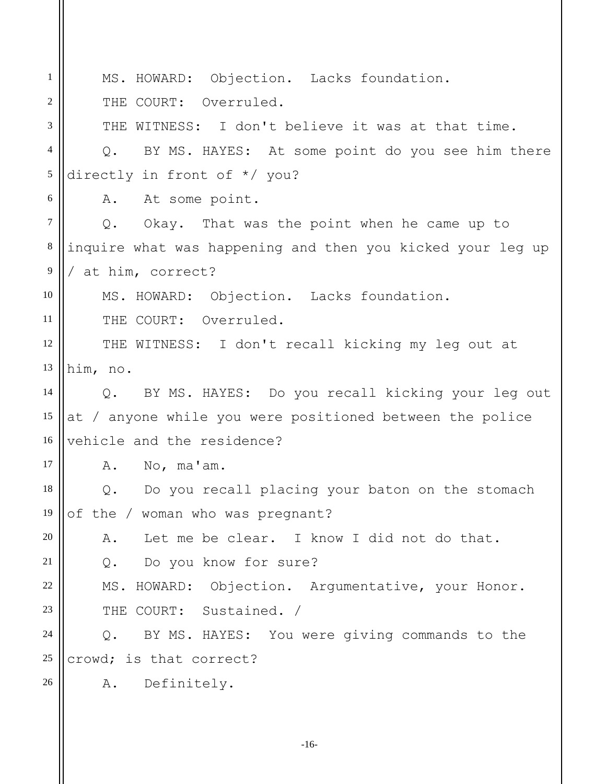1 2 3 4 5 6 7 8 9 10 11 12 13 14 15 16 17 18 19 20 21 22 23 24 25 26 MS. HOWARD: Objection. Lacks foundation. THE COURT: Overruled. THE WITNESS: I don't believe it was at that time. Q. BY MS. HAYES: At some point do you see him there directly in front of \*/ you? A. At some point. Q. Okay. That was the point when he came up to inquire what was happening and then you kicked your leg up / at him, correct? MS. HOWARD: Objection. Lacks foundation. THE COURT: Overruled. THE WITNESS: I don't recall kicking my leg out at him, no. Q. BY MS. HAYES: Do you recall kicking your leg out at / anyone while you were positioned between the police vehicle and the residence? A. No, ma'am. Q. Do you recall placing your baton on the stomach of the / woman who was pregnant? A. Let me be clear. I know I did not do that. Q. Do you know for sure? MS. HOWARD: Objection. Argumentative, your Honor. THE COURT: Sustained. / Q. BY MS. HAYES: You were giving commands to the crowd; is that correct? A. Definitely.

-16-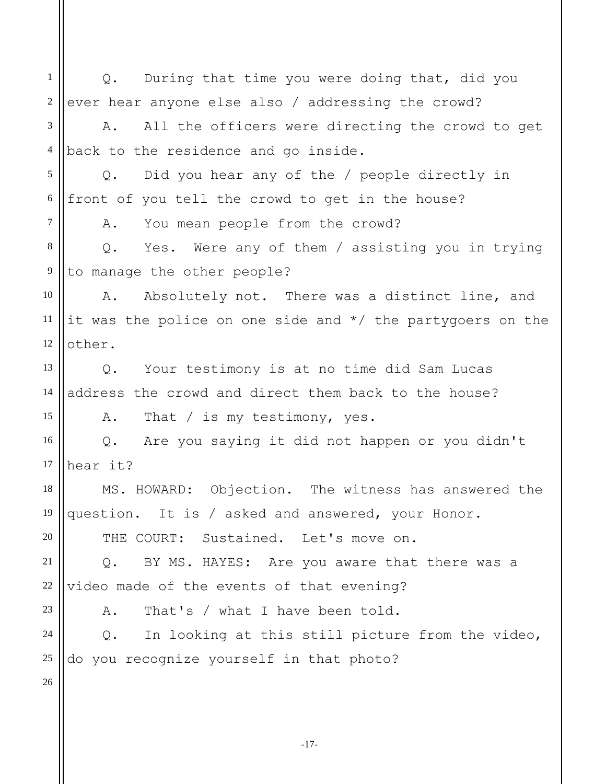1 2 3 4 5 6 7 8 9 10 11 12 13 14 15 16 17 18 19 20 21 22 23 24 25 26 Q. During that time you were doing that, did you ever hear anyone else also / addressing the crowd? A. All the officers were directing the crowd to get back to the residence and go inside. Q. Did you hear any of the / people directly in front of you tell the crowd to get in the house? A. You mean people from the crowd? Q. Yes. Were any of them / assisting you in trying to manage the other people? A. Absolutely not. There was a distinct line, and it was the police on one side and \*/ the partygoers on the other. Q. Your testimony is at no time did Sam Lucas address the crowd and direct them back to the house? A. That / is my testimony, yes. Q. Are you saying it did not happen or you didn't hear it? MS. HOWARD: Objection. The witness has answered the question. It is / asked and answered, your Honor. THE COURT: Sustained. Let's move on. Q. BY MS. HAYES: Are you aware that there was a video made of the events of that evening? A. That's / what I have been told. Q. In looking at this still picture from the video, do you recognize yourself in that photo?

-17-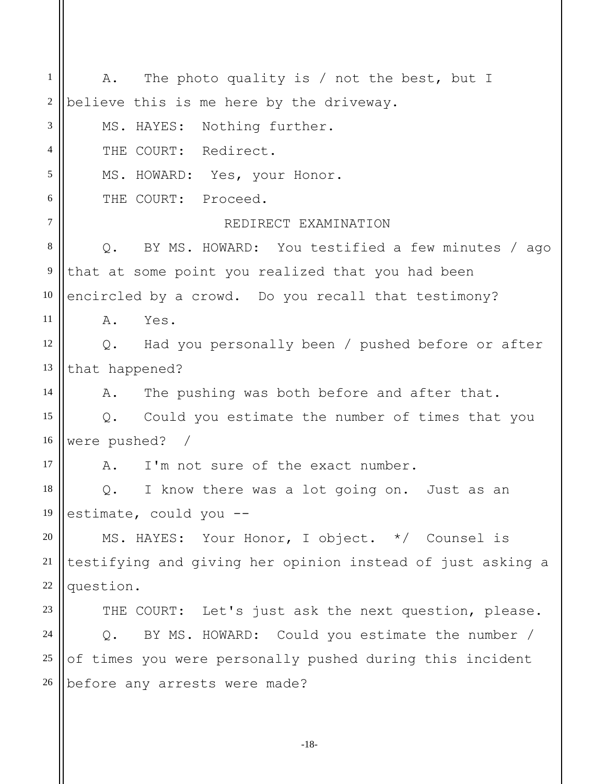1 2 3 4 5 6 7 8 9 10 11 12 13 14 15 16 17 18 19 20 21 22 23 24 25 26 A. The photo quality is / not the best, but I believe this is me here by the driveway. MS. HAYES: Nothing further. THE COURT: Redirect. MS. HOWARD: Yes, your Honor. THE COURT: Proceed. REDIRECT EXAMINATION Q. BY MS. HOWARD: You testified a few minutes / ago that at some point you realized that you had been encircled by a crowd. Do you recall that testimony? A. Yes. Q. Had you personally been / pushed before or after that happened? A. The pushing was both before and after that. Q. Could you estimate the number of times that you were pushed? / A. I'm not sure of the exact number. Q. I know there was a lot going on. Just as an estimate, could you -- MS. HAYES: Your Honor, I object. \*/ Counsel is testifying and giving her opinion instead of just asking a question. THE COURT: Let's just ask the next question, please. Q. BY MS. HOWARD: Could you estimate the number / of times you were personally pushed during this incident before any arrests were made?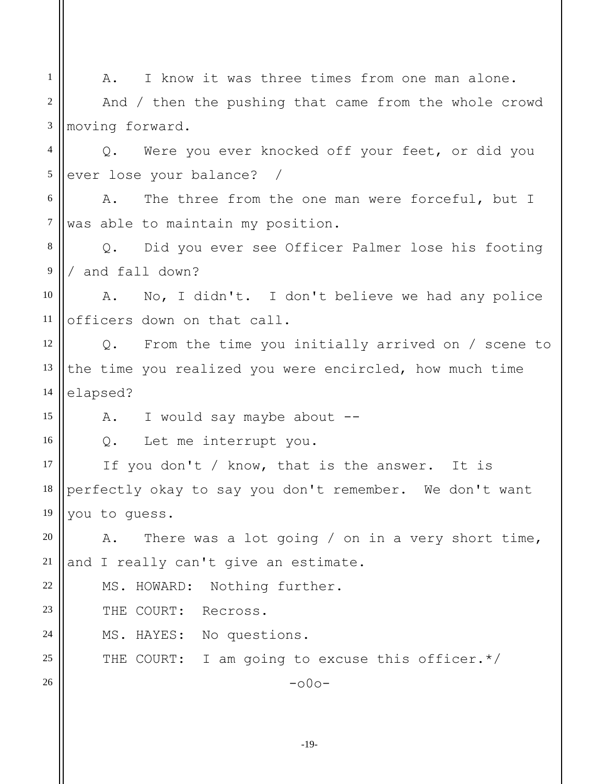1 2 3 4 5 6 7 8 9 10 11 12 13 14 15 16 17 18 19 20 21 22 23 24 25 26 A. I know it was three times from one man alone. And / then the pushing that came from the whole crowd moving forward. Q. Were you ever knocked off your feet, or did you ever lose your balance? / A. The three from the one man were forceful, but I was able to maintain my position. Q. Did you ever see Officer Palmer lose his footing / and fall down? A. No, I didn't. I don't believe we had any police officers down on that call. Q. From the time you initially arrived on / scene to the time you realized you were encircled, how much time elapsed? A. I would say maybe about --Q. Let me interrupt you. If you don't / know, that is the answer. It is perfectly okay to say you don't remember. We don't want you to guess. A. There was a lot going / on in a very short time, and I really can't give an estimate. MS. HOWARD: Nothing further. THE COURT: Recross. MS. HAYES: No questions. THE COURT: I am going to excuse this officer.\*/  $-000-$